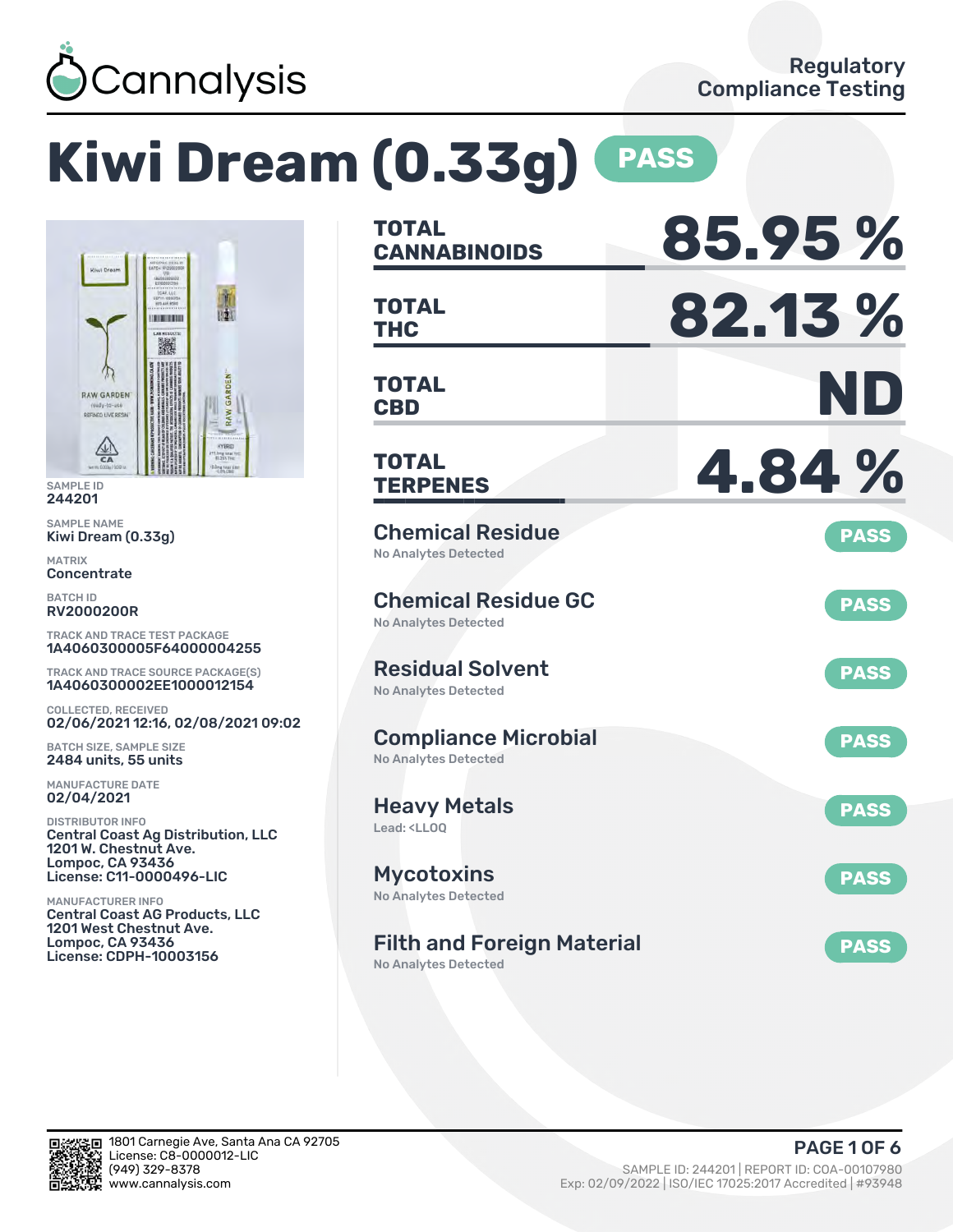

# **Kiwi Dream (0.33g) PASS**



SAMPLE ID 244201

SAMPLE NAME Kiwi Dream (0.33g)

MATRIX **Concentrate** 

BATCH ID RV2000200R

TRACK AND TRACE TEST PACKAGE 1A4060300005F64000004255

TRACK AND TRACE SOURCE PACKAGE(S) 1A4060300002EE1000012154

COLLECTED, RECEIVED 02/06/2021 12:16, 02/08/2021 09:02

BATCH SIZE, SAMPLE SIZE 2484 units, 55 units

MANUFACTURE DATE 02/04/2021

DISTRIBUTOR INFO Central Coast Ag Distribution, LLC 1201 W. Chestnut Ave. Lompoc, CA 93436 License: C11-0000496-LIC

MANUFACTURER INFO Central Coast AG Products, LLC 1201 West Chestnut Ave. Lompoc, CA 93436 License: CDPH-10003156

| <b>TOTAL</b><br><b>CANNABINOIDS</b>                                    | 85.95%      |
|------------------------------------------------------------------------|-------------|
| <b>TOTAL</b><br><b>THC</b>                                             | 82.13%      |
| <b>TOTAL</b><br><b>CBD</b>                                             | ND          |
| TOTAL<br><b>TERPENES</b>                                               | 4.84%       |
| <b>Chemical Residue</b><br><b>No Analytes Detected</b>                 | <b>PASS</b> |
| <b>Chemical Residue GC</b><br><b>No Analytes Detected</b>              | <b>PASS</b> |
| <b>Residual Solvent</b><br><b>No Analytes Detected</b>                 | <b>PASS</b> |
| <b>Compliance Microbial</b><br><b>No Analytes Detected</b>             | <b>PASS</b> |
| <b>Heavy Metals</b><br>Lead: <ll00< td=""><td><b>PASS</b></td></ll00<> | <b>PASS</b> |
| <b>Mycotoxins</b><br>No Analytes Detected                              | <b>PASS</b> |
| <b>Filth and Foreign Material</b><br><b>No Analytes Detected</b>       | <b>PASS</b> |

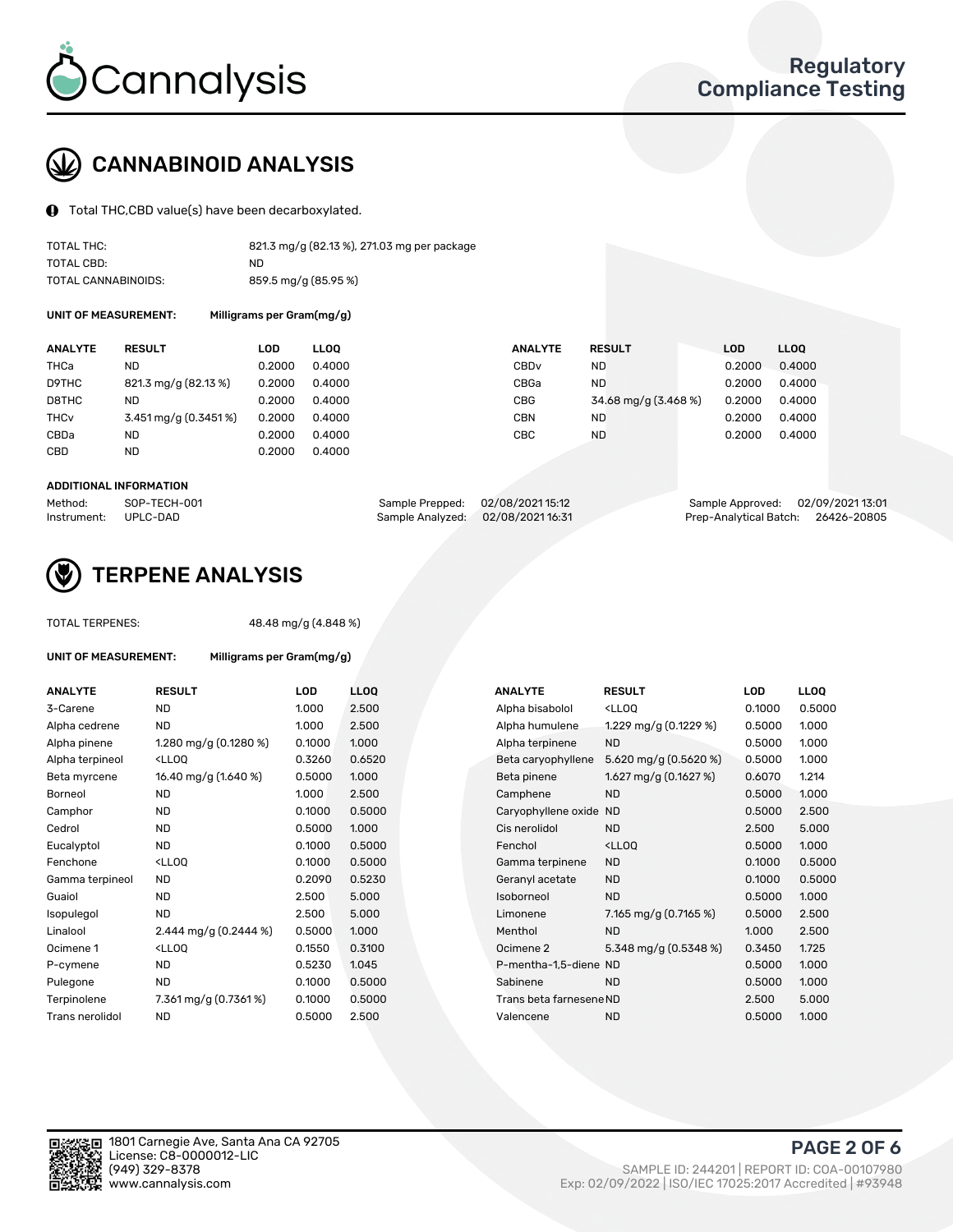

# CANNABINOID ANALYSIS

Total THC,CBD value(s) have been decarboxylated.

| TOTAL THC:          | 821.3 mg/g (82.13 %), 271.03 mg per package |
|---------------------|---------------------------------------------|
| TOTAL CBD:          | ND                                          |
| TOTAL CANNABINOIDS: | 859.5 mg/g (85.95 %)                        |

UNIT OF MEASUREMENT: Milligrams per Gram(mg/g)

| <b>ANALYTE</b>         | <b>RESULT</b>        | LOD    | <b>LLOO</b> | <b>ANALYTE</b>   | <b>RESULT</b>        | LOD    | <b>LLOO</b> |
|------------------------|----------------------|--------|-------------|------------------|----------------------|--------|-------------|
| THCa                   | ND                   | 0.2000 | 0.4000      | CBD <sub>v</sub> | ND.                  | 0.2000 | 0.4000      |
| D9THC                  | 821.3 mg/g (82.13 %) | 0.2000 | 0.4000      | CBGa             | <b>ND</b>            | 0.2000 | 0.4000      |
| D8THC                  | ND                   | 0.2000 | 0.4000      | <b>CBG</b>       | 34.68 mg/g (3.468 %) | 0.2000 | 0.4000      |
| <b>THC<sub>v</sub></b> | 3.451 mg/g (0.3451%) | 0.2000 | 0.4000      | <b>CBN</b>       | ND                   | 0.2000 | 0.4000      |
| CBDa                   | ND                   | 0.2000 | 0.4000      | CBC              | <b>ND</b>            | 0.2000 | 0.4000      |
| CBD                    | ND                   | 0.2000 | 0.4000      |                  |                      |        |             |
|                        |                      |        |             |                  |                      |        |             |

#### ADDITIONAL INFORMATION

| Method:              | SOP-TECH-001 | Sample Prepped: 02/08/2021 15:12 | Sample Approved: 02/09/2021 13:01  |  |
|----------------------|--------------|----------------------------------|------------------------------------|--|
| Instrument: UPLC-DAD |              | Sample Analyzed: 02/08/202116:31 | Prep-Analytical Batch: 26426-20805 |  |



## TERPENE ANALYSIS

TOTAL TERPENES: 48.48 mg/g (4.848 %)

| <b>UNIT OF MEASUREMENT:</b> |                                                   | Milligrams per Gram(mg/g) |                 |  |  |  |  |  |
|-----------------------------|---------------------------------------------------|---------------------------|-----------------|--|--|--|--|--|
| <b>ANALYTE</b>              | <b>RESULT</b>                                     | LOD                       | LL <sub>O</sub> |  |  |  |  |  |
| 3-Carene                    | <b>ND</b>                                         | 1.000                     | 2.50            |  |  |  |  |  |
| Alpha cedrene               | ND.                                               | 1.000                     | 2.50            |  |  |  |  |  |
| Alpha pinene                | 1.280 mg/g $(0.1280\%)$                           | 0.1000                    | 1.000           |  |  |  |  |  |
| Alpha terpineol             | <lloq< td=""><td>0.3260</td><td>0.65</td></lloq<> | 0.3260                    | 0.65            |  |  |  |  |  |
| Beta myrcene                | 16.40 mg/g (1.640 %)                              | 0.5000                    | 1.000           |  |  |  |  |  |
| Borneol                     | <b>ND</b>                                         | 1.000                     | 2.50            |  |  |  |  |  |
| Camphor                     | <b>ND</b>                                         | 0.1000                    | 0.50            |  |  |  |  |  |
| Cedrol                      | <b>ND</b>                                         | 0.5000                    | 1.000           |  |  |  |  |  |
| Eucalyptol                  | <b>ND</b>                                         | 0.1000                    | 0.50            |  |  |  |  |  |
| Fenchone                    | <lloo< td=""><td>0.1000</td><td>0.50</td></lloo<> | 0.1000                    | 0.50            |  |  |  |  |  |
| Gamma terpineol             | <b>ND</b>                                         | 0.2090                    | 0.52            |  |  |  |  |  |
| Guaiol                      | <b>ND</b>                                         | 2.500                     | 5.00            |  |  |  |  |  |
| Isopulegol                  | ND.                                               | 2.500                     | 5.00            |  |  |  |  |  |
| Linalool                    | 2.444 mg/g $(0.2444\%)$                           | 0.5000                    | 1.000           |  |  |  |  |  |
| Ocimene 1                   | <lloq< td=""><td>0.1550</td><td>0.31</td></lloq<> | 0.1550                    | 0.31            |  |  |  |  |  |
| P-cymene                    | ND                                                | 0.5230                    | 1.045           |  |  |  |  |  |
| Pulegone                    | <b>ND</b>                                         | 0.1000                    | 0.50            |  |  |  |  |  |
| Terpinolene                 | 7.361 mg/g (0.7361%)                              | 0.1000                    | 0.50            |  |  |  |  |  |
| Trans nerolidol             | <b>ND</b>                                         | 0.5000                    | 2.50            |  |  |  |  |  |

| ANALYTE         | <b>RESULT</b>                                                                                                                                 | LOD    | <b>LLOQ</b> | <b>ANALYTE</b>          | <b>RESULT</b>                                       | <b>LOD</b> | <b>LLOQ</b> |
|-----------------|-----------------------------------------------------------------------------------------------------------------------------------------------|--------|-------------|-------------------------|-----------------------------------------------------|------------|-------------|
| 3-Carene        | <b>ND</b>                                                                                                                                     | 1.000  | 2.500       | Alpha bisabolol         | <lloq< td=""><td>0.1000</td><td>0.5000</td></lloq<> | 0.1000     | 0.5000      |
| Alpha cedrene   | <b>ND</b>                                                                                                                                     | 1.000  | 2.500       | Alpha humulene          | 1.229 mg/g (0.1229 %)                               | 0.5000     | 1.000       |
| Alpha pinene    | 1.280 mg/g (0.1280 %)                                                                                                                         | 0.1000 | 1.000       | Alpha terpinene         | <b>ND</b>                                           | 0.5000     | 1.000       |
| Alpha terpineol | <lloq< td=""><td>0.3260</td><td>0.6520</td><td>Beta caryophyllene</td><td>5.620 mg/g (0.5620 %)</td><td>0.5000</td><td>1.000</td></lloq<>     | 0.3260 | 0.6520      | Beta caryophyllene      | 5.620 mg/g (0.5620 %)                               | 0.5000     | 1.000       |
| Beta myrcene    | 16.40 mg/g (1.640 %)                                                                                                                          | 0.5000 | 1.000       | Beta pinene             | 1.627 mg/g $(0.1627%)$                              | 0.6070     | 1.214       |
| Borneol         | <b>ND</b>                                                                                                                                     | 1.000  | 2.500       | Camphene                | <b>ND</b>                                           | 0.5000     | 1.000       |
| Camphor         | <b>ND</b>                                                                                                                                     | 0.1000 | 0.5000      | Caryophyllene oxide     | ND.                                                 | 0.5000     | 2.500       |
| Cedrol          | <b>ND</b>                                                                                                                                     | 0.5000 | 1.000       | Cis nerolidol           | <b>ND</b>                                           | 2.500      | 5.000       |
| Eucalyptol      | <b>ND</b>                                                                                                                                     | 0.1000 | 0.5000      | Fenchol                 | <lloq< td=""><td>0.5000</td><td>1.000</td></lloq<>  | 0.5000     | 1.000       |
| Fenchone        | <lloq< td=""><td>0.1000</td><td>0.5000</td><td>Gamma terpinene</td><td><b>ND</b></td><td>0.1000</td><td>0.5000</td></lloq<>                   | 0.1000 | 0.5000      | Gamma terpinene         | <b>ND</b>                                           | 0.1000     | 0.5000      |
| Gamma terpineol | ND.                                                                                                                                           | 0.2090 | 0.5230      | Geranyl acetate         | <b>ND</b>                                           | 0.1000     | 0.5000      |
| Guaiol          | ND                                                                                                                                            | 2.500  | 5.000       | Isoborneol              | <b>ND</b>                                           | 0.5000     | 1.000       |
| Isopulegol      | <b>ND</b>                                                                                                                                     | 2.500  | 5.000       | Limonene                | 7.165 mg/g $(0.7165\%)$                             | 0.5000     | 2.500       |
| Linalool        | 2.444 mg/g $(0.2444\%)$                                                                                                                       | 0.5000 | 1.000       | Menthol                 | <b>ND</b>                                           | 1.000      | 2.500       |
| Ocimene 1       | <lloq< td=""><td>0.1550</td><td>0.3100</td><td>Ocimene 2</td><td>5.348 mg/g <math>(0.5348\%)</math></td><td>0.3450</td><td>1.725</td></lloq<> | 0.1550 | 0.3100      | Ocimene 2               | 5.348 mg/g $(0.5348\%)$                             | 0.3450     | 1.725       |
| P-cymene        | <b>ND</b>                                                                                                                                     | 0.5230 | 1.045       | P-mentha-1,5-diene ND   |                                                     | 0.5000     | 1.000       |
| Pulegone        | <b>ND</b>                                                                                                                                     | 0.1000 | 0.5000      | Sabinene                | <b>ND</b>                                           | 0.5000     | 1.000       |
| Terpinolene     | 7.361 mg/g $(0.7361\%)$                                                                                                                       | 0.1000 | 0.5000      | Trans beta farnesene ND |                                                     | 2.500      | 5.000       |
| Trans nerolidol | <b>ND</b>                                                                                                                                     | 0.5000 | 2.500       | Valencene               | <b>ND</b>                                           | 0.5000     | 1.000       |
|                 |                                                                                                                                               |        |             |                         |                                                     |            |             |

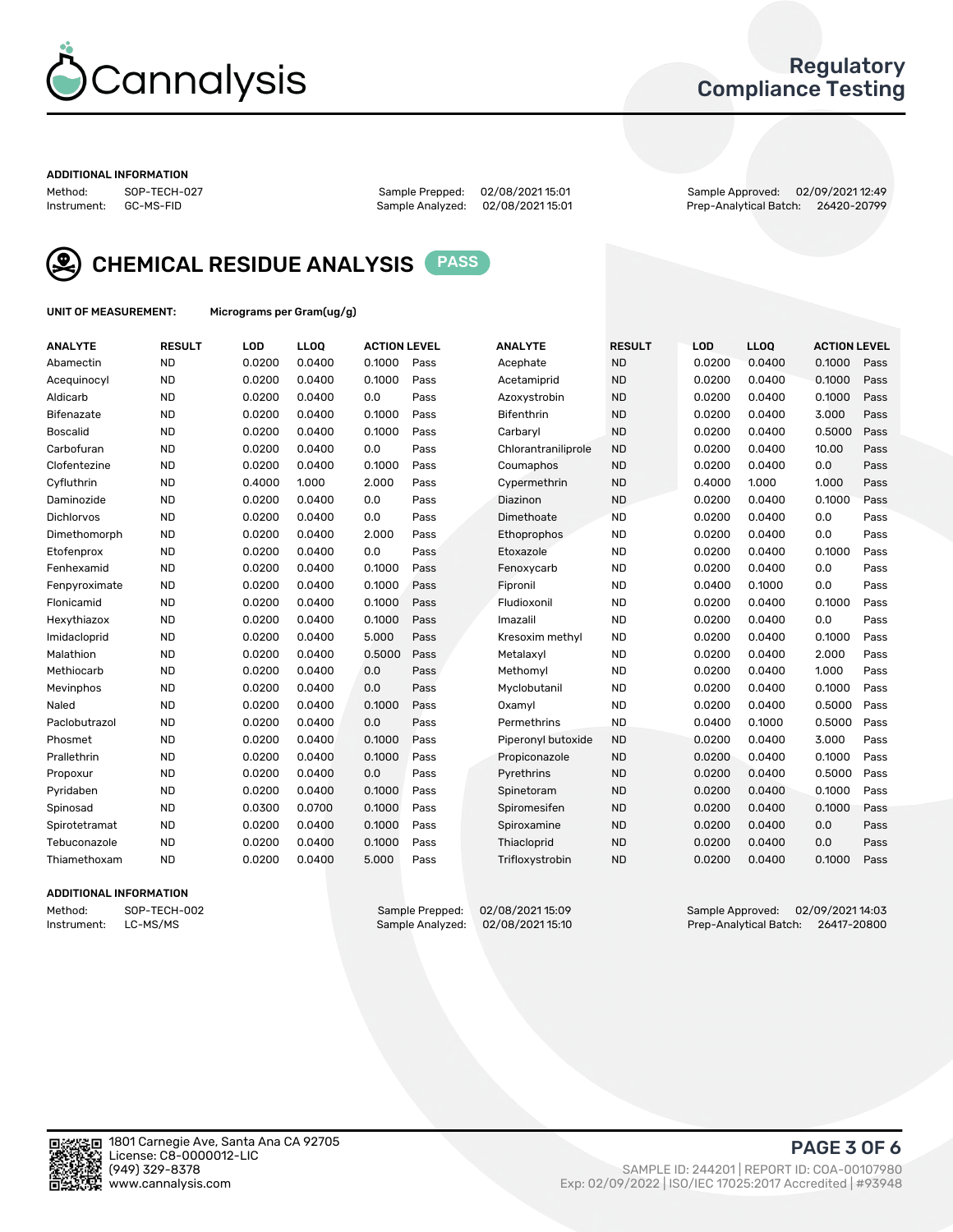

## Regulatory Compliance Testing

#### ADDITIONAL INFORMATION

Method: SOP-TECH-027 Sample Prepped: 02/08/2021 15:01 Sample Approved: 02/09/2021 12:49 Prep-Analytical Batch: 26420-20799

![](_page_2_Picture_7.jpeg)

CHEMICAL RESIDUE ANALYSIS PASS

UNIT OF MEASUREMENT: Micrograms per Gram(ug/g)

| <b>ANALYTE</b>    | <b>RESULT</b> | LOD    | <b>LLOQ</b> | <b>ACTION LEVEL</b> |      | <b>ANALYTE</b>      | <b>RESULT</b> | LOD    | <b>LLOQ</b> | <b>ACTION LEVEL</b> |      |
|-------------------|---------------|--------|-------------|---------------------|------|---------------------|---------------|--------|-------------|---------------------|------|
| Abamectin         | <b>ND</b>     | 0.0200 | 0.0400      | 0.1000              | Pass | Acephate            | <b>ND</b>     | 0.0200 | 0.0400      | 0.1000              | Pass |
| Acequinocyl       | <b>ND</b>     | 0.0200 | 0.0400      | 0.1000              | Pass | Acetamiprid         | <b>ND</b>     | 0.0200 | 0.0400      | 0.1000              | Pass |
| Aldicarb          | <b>ND</b>     | 0.0200 | 0.0400      | 0.0                 | Pass | Azoxystrobin        | <b>ND</b>     | 0.0200 | 0.0400      | 0.1000              | Pass |
| Bifenazate        | <b>ND</b>     | 0.0200 | 0.0400      | 0.1000              | Pass | <b>Bifenthrin</b>   | <b>ND</b>     | 0.0200 | 0.0400      | 3.000               | Pass |
| <b>Boscalid</b>   | <b>ND</b>     | 0.0200 | 0.0400      | 0.1000              | Pass | Carbarvl            | <b>ND</b>     | 0.0200 | 0.0400      | 0.5000              | Pass |
| Carbofuran        | <b>ND</b>     | 0.0200 | 0.0400      | 0.0                 | Pass | Chlorantraniliprole | <b>ND</b>     | 0.0200 | 0.0400      | 10.00               | Pass |
| Clofentezine      | <b>ND</b>     | 0.0200 | 0.0400      | 0.1000              | Pass | Coumaphos           | <b>ND</b>     | 0.0200 | 0.0400      | 0.0                 | Pass |
| Cyfluthrin        | <b>ND</b>     | 0.4000 | 1.000       | 2.000               | Pass | Cypermethrin        | <b>ND</b>     | 0.4000 | 1.000       | 1.000               | Pass |
| Daminozide        | <b>ND</b>     | 0.0200 | 0.0400      | 0.0                 | Pass | Diazinon            | <b>ND</b>     | 0.0200 | 0.0400      | 0.1000              | Pass |
| <b>Dichlorvos</b> | <b>ND</b>     | 0.0200 | 0.0400      | 0.0                 | Pass | Dimethoate          | <b>ND</b>     | 0.0200 | 0.0400      | 0.0                 | Pass |
| Dimethomorph      | <b>ND</b>     | 0.0200 | 0.0400      | 2.000               | Pass | <b>Ethoprophos</b>  | <b>ND</b>     | 0.0200 | 0.0400      | 0.0                 | Pass |
| Etofenprox        | <b>ND</b>     | 0.0200 | 0.0400      | 0.0                 | Pass | Etoxazole           | <b>ND</b>     | 0.0200 | 0.0400      | 0.1000              | Pass |
| Fenhexamid        | <b>ND</b>     | 0.0200 | 0.0400      | 0.1000              | Pass | Fenoxycarb          | <b>ND</b>     | 0.0200 | 0.0400      | 0.0                 | Pass |
| Fenpyroximate     | <b>ND</b>     | 0.0200 | 0.0400      | 0.1000              | Pass | Fipronil            | <b>ND</b>     | 0.0400 | 0.1000      | 0.0                 | Pass |
| Flonicamid        | <b>ND</b>     | 0.0200 | 0.0400      | 0.1000              | Pass | Fludioxonil         | <b>ND</b>     | 0.0200 | 0.0400      | 0.1000              | Pass |
| Hexythiazox       | <b>ND</b>     | 0.0200 | 0.0400      | 0.1000              | Pass | Imazalil            | <b>ND</b>     | 0.0200 | 0.0400      | 0.0                 | Pass |
| Imidacloprid      | <b>ND</b>     | 0.0200 | 0.0400      | 5.000               | Pass | Kresoxim methyl     | <b>ND</b>     | 0.0200 | 0.0400      | 0.1000              | Pass |
| Malathion         | <b>ND</b>     | 0.0200 | 0.0400      | 0.5000              | Pass | Metalaxyl           | <b>ND</b>     | 0.0200 | 0.0400      | 2.000               | Pass |
| Methiocarb        | <b>ND</b>     | 0.0200 | 0.0400      | 0.0                 | Pass | Methomyl            | <b>ND</b>     | 0.0200 | 0.0400      | 1.000               | Pass |
| Mevinphos         | <b>ND</b>     | 0.0200 | 0.0400      | 0.0                 | Pass | Myclobutanil        | <b>ND</b>     | 0.0200 | 0.0400      | 0.1000              | Pass |
| Naled             | <b>ND</b>     | 0.0200 | 0.0400      | 0.1000              | Pass | Oxamyl              | <b>ND</b>     | 0.0200 | 0.0400      | 0.5000              | Pass |
| Paclobutrazol     | <b>ND</b>     | 0.0200 | 0.0400      | 0.0                 | Pass | Permethrins         | <b>ND</b>     | 0.0400 | 0.1000      | 0.5000              | Pass |
| Phosmet           | <b>ND</b>     | 0.0200 | 0.0400      | 0.1000              | Pass | Piperonyl butoxide  | <b>ND</b>     | 0.0200 | 0.0400      | 3.000               | Pass |
| Prallethrin       | <b>ND</b>     | 0.0200 | 0.0400      | 0.1000              | Pass | Propiconazole       | <b>ND</b>     | 0.0200 | 0.0400      | 0.1000              | Pass |
| Propoxur          | <b>ND</b>     | 0.0200 | 0.0400      | 0.0                 | Pass | Pyrethrins          | <b>ND</b>     | 0.0200 | 0.0400      | 0.5000              | Pass |
| Pyridaben         | <b>ND</b>     | 0.0200 | 0.0400      | 0.1000              | Pass | Spinetoram          | <b>ND</b>     | 0.0200 | 0.0400      | 0.1000              | Pass |
| Spinosad          | <b>ND</b>     | 0.0300 | 0.0700      | 0.1000              | Pass | Spiromesifen        | <b>ND</b>     | 0.0200 | 0.0400      | 0.1000              | Pass |
| Spirotetramat     | <b>ND</b>     | 0.0200 | 0.0400      | 0.1000              | Pass | Spiroxamine         | <b>ND</b>     | 0.0200 | 0.0400      | 0.0                 | Pass |
| Tebuconazole      | <b>ND</b>     | 0.0200 | 0.0400      | 0.1000              | Pass | Thiacloprid         | <b>ND</b>     | 0.0200 | 0.0400      | 0.0                 | Pass |
| Thiamethoxam      | <b>ND</b>     | 0.0200 | 0.0400      | 5.000               | Pass | Trifloxystrobin     | <b>ND</b>     | 0.0200 | 0.0400      | 0.1000              | Pass |

### ADDITIONAL INFORMATION

Method: SOP-TECH-002 Sample Prepped: 02/08/2021 15:09 Sample Approved: 02/09/2021 14:03<br>Instrument: LC-MS/MS Sample Analyzed: 02/08/2021 15:10 Prep-Analytical Batch: 26417-20800 Prep-Analytical Batch: 26417-20800

PAGE 3 OF 6

![](_page_2_Picture_17.jpeg)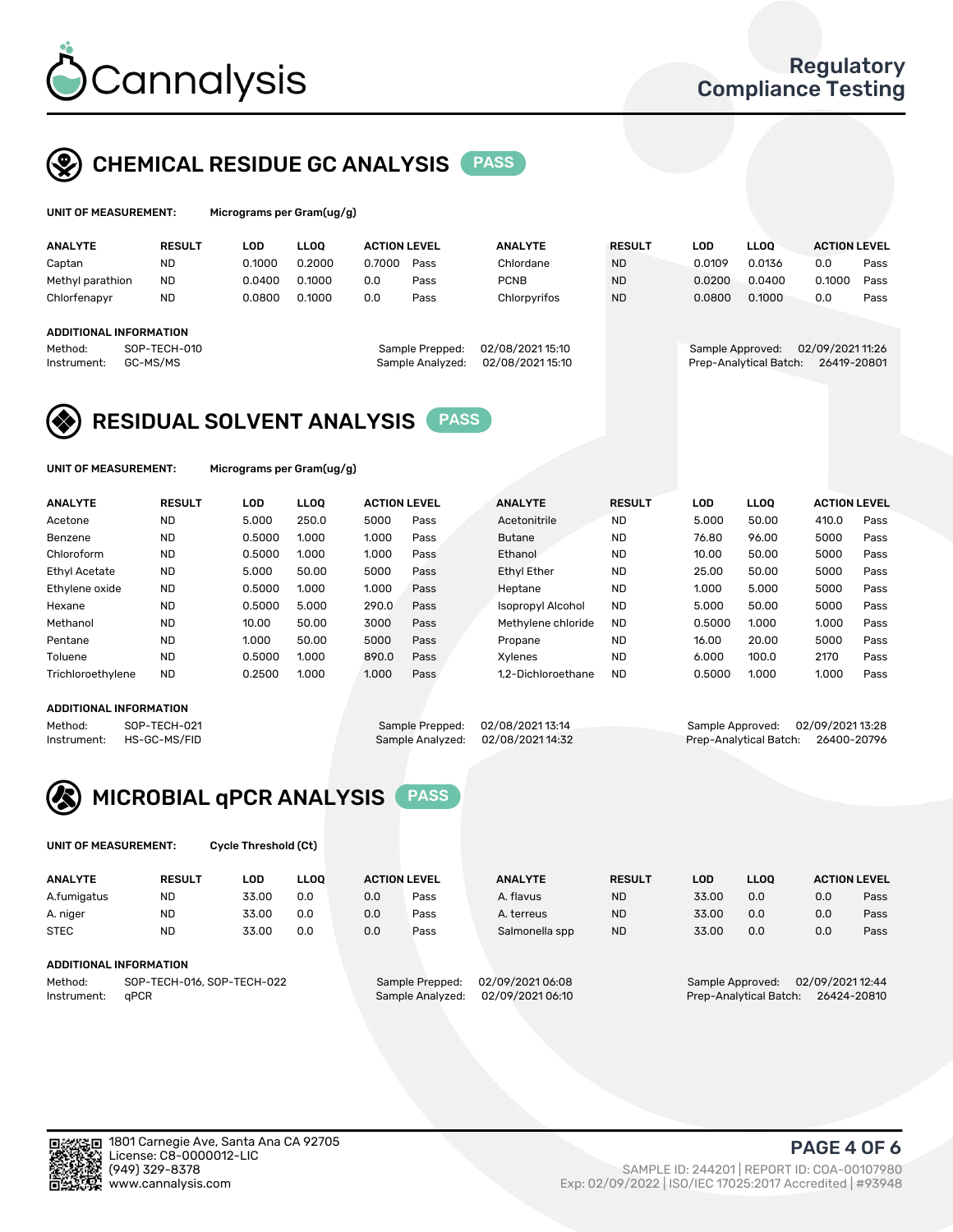![](_page_3_Picture_0.jpeg)

## CHEMICAL RESIDUE GC ANALYSIS PASS

| UNIT OF MEASUREMENT: | м |
|----------------------|---|
|                      |   |

icrograms per Gram(ug/g)

| <b>ANALYTE</b>         | <b>RESULT</b> | LOD    | <b>LLOO</b> | <b>ACTION LEVEL</b> |                  | <b>ANALYTE</b>   | <b>RESULT</b> | LOD              | <b>LLOO</b>            | <b>ACTION LEVEL</b> |      |
|------------------------|---------------|--------|-------------|---------------------|------------------|------------------|---------------|------------------|------------------------|---------------------|------|
| Captan                 | <b>ND</b>     | 0.1000 | 0.2000      | 0.7000              | Pass             | Chlordane        | <b>ND</b>     | 0.0109           | 0.0136                 | 0.0                 | Pass |
| Methyl parathion       | <b>ND</b>     | 0.0400 | 0.1000      | 0.0                 | Pass             | <b>PCNB</b>      | <b>ND</b>     | 0.0200           | 0.0400                 | 0.1000              | Pass |
| Chlorfenapyr           | <b>ND</b>     | 0.0800 | 0.1000      | 0.0                 | Pass             | Chlorpyrifos     | <b>ND</b>     | 0.0800           | 0.1000                 | 0.0                 | Pass |
|                        |               |        |             |                     |                  |                  |               |                  |                        |                     |      |
| ADDITIONAL INFORMATION |               |        |             |                     |                  |                  |               |                  |                        |                     |      |
| Method:                | SOP-TECH-010  |        |             |                     | Sample Prepped:  | 02/08/2021 15:10 |               | Sample Approved: |                        | 02/09/202111:26     |      |
| Instrument:            | GC-MS/MS      |        |             |                     | Sample Analyzed: | 02/08/202115:10  |               |                  | Prep-Analytical Batch: | 26419-20801         |      |
|                        |               |        |             |                     |                  |                  |               |                  |                        |                     |      |

## RESIDUAL SOLVENT ANALYSIS PASS

UNIT OF MEASUREMENT: Micrograms per Gram(ug/g)

| <b>ANALYTE</b>       | <b>RESULT</b> | LOD    | <b>LLOO</b> | <b>ACTION LEVEL</b> |      | <b>ANALYTE</b>           | <b>RESULT</b> | LOD    | LLOO  | <b>ACTION LEVEL</b> |      |
|----------------------|---------------|--------|-------------|---------------------|------|--------------------------|---------------|--------|-------|---------------------|------|
| Acetone              | <b>ND</b>     | 5.000  | 250.0       | 5000                | Pass | Acetonitrile             | <b>ND</b>     | 5.000  | 50.00 | 410.0               | Pass |
| Benzene              | <b>ND</b>     | 0.5000 | 1.000       | 1.000               | Pass | <b>Butane</b>            | <b>ND</b>     | 76.80  | 96.00 | 5000                | Pass |
| Chloroform           | <b>ND</b>     | 0.5000 | 1.000       | 1.000               | Pass | Ethanol                  | <b>ND</b>     | 10.00  | 50.00 | 5000                | Pass |
| <b>Ethyl Acetate</b> | <b>ND</b>     | 5.000  | 50.00       | 5000                | Pass | <b>Ethyl Ether</b>       | <b>ND</b>     | 25.00  | 50.00 | 5000                | Pass |
| Ethylene oxide       | <b>ND</b>     | 0.5000 | 1.000       | 1.000               | Pass | Heptane                  | <b>ND</b>     | 1.000  | 5.000 | 5000                | Pass |
| Hexane               | <b>ND</b>     | 0.5000 | 5.000       | 290.0               | Pass | <b>Isopropyl Alcohol</b> | <b>ND</b>     | 5.000  | 50.00 | 5000                | Pass |
| Methanol             | <b>ND</b>     | 10.00  | 50.00       | 3000                | Pass | Methylene chloride       | <b>ND</b>     | 0.5000 | 1.000 | 1.000               | Pass |
| Pentane              | <b>ND</b>     | 1.000  | 50.00       | 5000                | Pass | Propane                  | <b>ND</b>     | 16.00  | 20.00 | 5000                | Pass |
| Toluene              | <b>ND</b>     | 0.5000 | 1.000       | 890.0               | Pass | Xvlenes                  | <b>ND</b>     | 6.000  | 100.0 | 2170                | Pass |
| Trichloroethylene    | <b>ND</b>     | 0.2500 | 1.000       | 1.000               | Pass | 1.2-Dichloroethane       | <b>ND</b>     | 0.5000 | 1.000 | 1.000               | Pass |

#### ADDITIONAL INFORMATION

Method: SOP-TECH-021 Sample Prepped: 02/08/2021 13:14 Sample Approved: 02/09/2021 13:28<br>Sample Analyzed: 02/08/2021 14:32 Prep-Analytical Batch: 26400-20796 Prep-Analytical Batch: 26400-20796

![](_page_3_Picture_15.jpeg)

UNIT OF MEASUREMENT: Cycle Threshold (Ct)

| <b>ANALYTE</b>                        | <b>RESULT</b>                 | LOD   | <b>LLOO</b> | <b>ACTION LEVEL</b> |                 | <b>ANALYTE</b> | <b>RESULT</b>    | LOD   | <b>LLOO</b>      |     | <b>ACTION LEVEL</b> |
|---------------------------------------|-------------------------------|-------|-------------|---------------------|-----------------|----------------|------------------|-------|------------------|-----|---------------------|
| A.fumigatus                           | <b>ND</b>                     | 33.00 | 0.0         | 0.0                 | Pass            | A. flavus      | <b>ND</b>        | 33.00 | 0.0              | 0.0 | Pass                |
| A. niger                              | <b>ND</b>                     | 33.00 | 0.0         | 0.0                 | Pass            | A. terreus     | <b>ND</b>        | 33.00 | 0.0              | 0.0 | Pass                |
| <b>STEC</b>                           | <b>ND</b>                     | 33.00 | 0.0         | 0.0                 | Pass            | Salmonella spp | <b>ND</b>        | 33.00 | 0.0              | 0.0 | Pass                |
|                                       | <b>ADDITIONAL INFORMATION</b> |       |             |                     |                 |                |                  |       |                  |     |                     |
| SOP-TECH-016, SOP-TECH-022<br>Method: |                               |       |             | Sample Prepped:     | 02/09/202106:08 |                | Sample Approved: |       | 02/09/2021 12:44 |     |                     |

Instrument: qPCR Sample Analyzed: 02/09/2021 06:10 Prep-Analytical Batch: 26424-20810

PAGE 4 OF 6

![](_page_3_Picture_22.jpeg)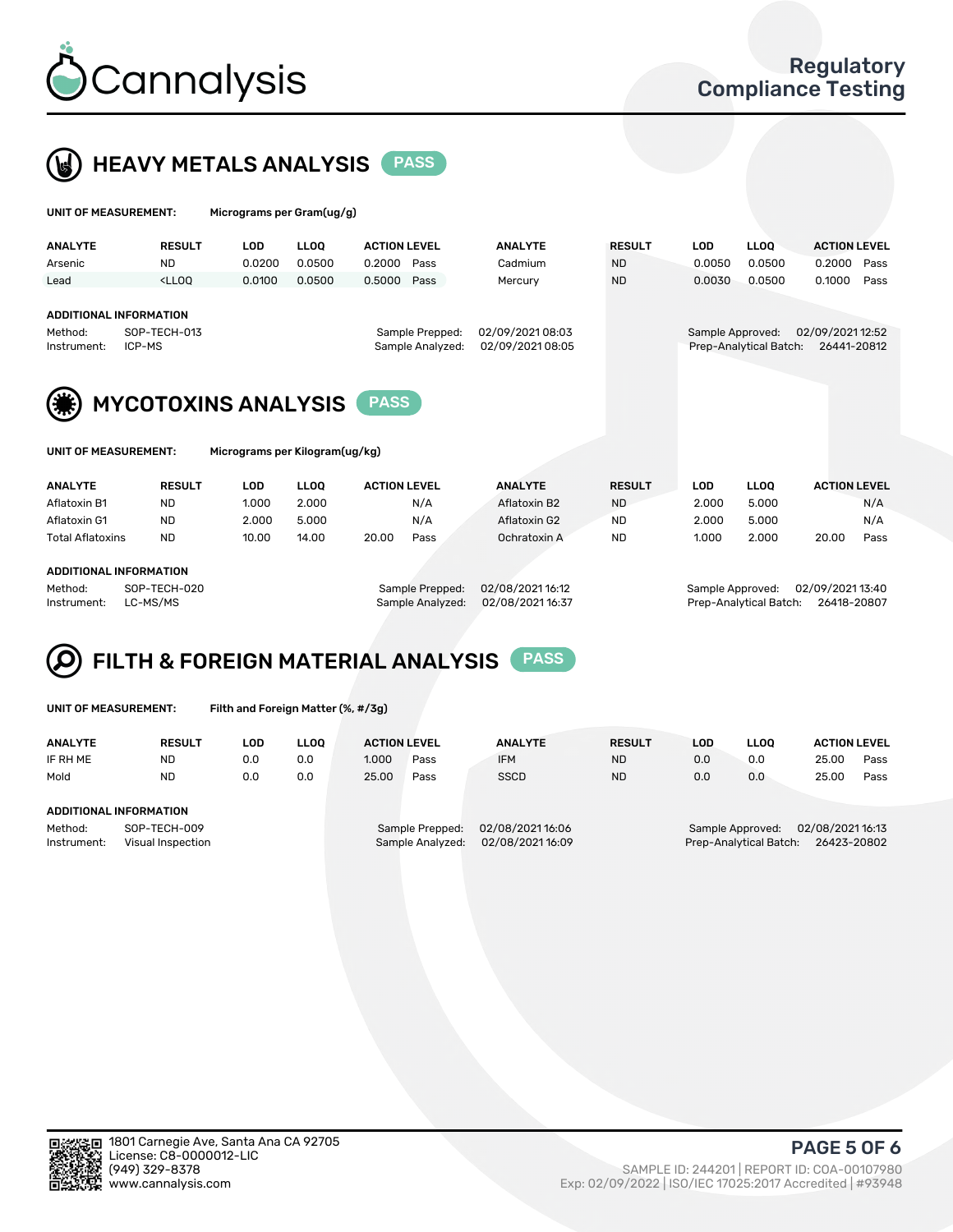![](_page_4_Picture_0.jpeg)

 $U$ UNIT OF MEASUREMENT: Micrograms per Gram(ug/g)

![](_page_4_Picture_2.jpeg)

| <b>ANALYTE</b>         | <b>RESULT</b>                                                                                                                                                           | <b>LOD</b>                     | <b>LLOO</b> | <b>ACTION LEVEL</b> |                                     | <b>ANALYTE</b>                       | <b>RESULT</b> | <b>LOD</b>       | <b>LLOQ</b>            | <b>ACTION LEVEL</b>             |  |  |  |  |
|------------------------|-------------------------------------------------------------------------------------------------------------------------------------------------------------------------|--------------------------------|-------------|---------------------|-------------------------------------|--------------------------------------|---------------|------------------|------------------------|---------------------------------|--|--|--|--|
| Arsenic                | <b>ND</b>                                                                                                                                                               | 0.0200                         | 0.0500      | 0.2000              | Pass                                | Cadmium                              | <b>ND</b>     | 0.0050           | 0.0500                 | 0.2000<br>Pass                  |  |  |  |  |
| Lead                   | <lloo< td=""><td>0.0100</td><td>0.0500</td><td>0.5000</td><td>Pass</td><td>Mercury</td><td><b>ND</b></td><td>0.0030</td><td>0.0500</td><td>0.1000<br/>Pass</td></lloo<> | 0.0100                         | 0.0500      | 0.5000              | Pass                                | Mercury                              | <b>ND</b>     | 0.0030           | 0.0500                 | 0.1000<br>Pass                  |  |  |  |  |
| Method:<br>Instrument: | <b>ADDITIONAL INFORMATION</b><br>SOP-TECH-013<br>ICP-MS                                                                                                                 |                                |             |                     | Sample Prepped:<br>Sample Analyzed: | 02/09/2021 08:03<br>02/09/2021 08:05 |               | Sample Approved: | Prep-Analytical Batch: | 02/09/2021 12:52<br>26441-20812 |  |  |  |  |
|                        | <b>MYCOTOXINS ANALYSIS</b><br><b>PASS</b>                                                                                                                               |                                |             |                     |                                     |                                      |               |                  |                        |                                 |  |  |  |  |
| UNIT OF MEASUREMENT:   |                                                                                                                                                                         | Micrograms per Kilogram(ug/kg) |             |                     |                                     |                                      |               |                  |                        |                                 |  |  |  |  |
| <b>ANALYTE</b>         | <b>RESULT</b>                                                                                                                                                           | <b>LOD</b>                     | <b>LLOO</b> | <b>ACTION LEVEL</b> |                                     | <b>ANALYTE</b>                       | <b>RESULT</b> | <b>LOD</b>       | <b>LLOO</b>            | <b>ACTION LEVEL</b>             |  |  |  |  |

| Aflatoxin B1            | ND        | 1.000 | 2.000 |       | N/A  | Aflatoxin B2 | <b>ND</b> | 2.000 | 5.000 |       | N/A  |
|-------------------------|-----------|-------|-------|-------|------|--------------|-----------|-------|-------|-------|------|
| Aflatoxin G1            | ND        | 2.000 | 5.000 |       | N/A  | Aflatoxin G2 | <b>ND</b> | 2.000 | 5.000 |       | N/A  |
| <b>Total Aflatoxins</b> | <b>ND</b> | 10.00 | 14.00 | 20.00 | Pass | Ochratoxin A | <b>ND</b> | 1.000 | 2.000 | 20.00 | Pass |
|                         |           |       |       |       |      |              |           |       |       |       |      |
| ADDITIONAL INFORMATION  |           |       |       |       |      |              |           |       |       |       |      |

Method: SOP-TECH-020 Sample Prepped: 02/08/2021 16:12 Sample Approved: 02/09/2021 13:40 Instrument: LC-MS/MS Sample Analyzed: 02/08/2021 16:37 Prep-Analytical Batch: 26418-20807

#### FILTH & FOREIGN MATERIAL ANALYSIS PASS Q

UNIT OF MEASUREMENT: Filth and Foreign Matter (%, #/3g)

| <b>ANALYTE</b>                                              | <b>RESULT</b> | LOD | <b>LLOO</b> | <b>ACTION LEVEL</b> |                                     | <b>ANALYTE</b>                     | <b>RESULT</b> | LOD | <b>LLOO</b> | <b>ACTION LEVEL</b>                                                           |      |  |  |
|-------------------------------------------------------------|---------------|-----|-------------|---------------------|-------------------------------------|------------------------------------|---------------|-----|-------------|-------------------------------------------------------------------------------|------|--|--|
| IF RH ME                                                    | <b>ND</b>     | 0.0 | 0.0         | 1.000               | Pass                                | <b>IFM</b>                         | <b>ND</b>     | 0.0 | 0.0         | 25.00                                                                         | Pass |  |  |
| Mold                                                        | <b>ND</b>     | 0.0 | 0.0         | 25.00               | Pass                                | <b>SSCD</b>                        | <b>ND</b>     | 0.0 | 0.0         | 25.00                                                                         | Pass |  |  |
| ADDITIONAL INFORMATION                                      |               |     |             |                     |                                     |                                    |               |     |             |                                                                               |      |  |  |
| Method:<br>SOP-TECH-009<br>Instrument:<br>Visual Inspection |               |     |             |                     | Sample Prepped:<br>Sample Analyzed: | 02/08/202116:06<br>02/08/202116:09 |               |     |             | 02/08/2021 16:13<br>Sample Approved:<br>26423-20802<br>Prep-Analytical Batch: |      |  |  |

![](_page_4_Picture_14.jpeg)